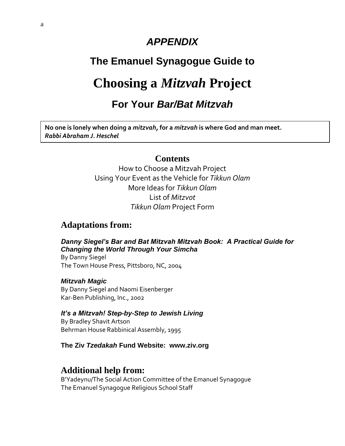# *APPENDIX*

# **The Emanuel Synagogue Guide to**

# **Choosing a** *Mitzvah* **Project**

# **For Your** *Bar/Bat Mitzvah*

**No one is lonely when doing a** *mitzvah,* **for a** *mitzvah* **is where God and man meet.** *Rabbi Abraham J. Heschel*

## **Contents**

How to Choose a Mitzvah Project Using Your Event as the Vehicle for *Tikkun Olam* More Ideas for *Tikkun Olam* List of *Mitzvot Tikkun Olam* Project Form

## **Adaptations from:**

*Danny Siegel's Bar and Bat Mitzvah Mitzvah Book: A Practical Guide for Changing the World Through Your Simcha* By Danny Siegel The Town House Press, Pittsboro, NC, 2004

*Mitzvah Magic* By Danny Siegel and Naomi Eisenberger Kar-Ben Publishing, Inc., 2002

### *It's a Mitzvah! Step-by-Step to Jewish Living*

By Bradley Shavit Artson Behrman House Rabbinical Assembly, 1995

### **The Ziv** *Tzedakah* **Fund Website: www.ziv.org**

### **Additional help from:**

B'Yadeynu/The Social Action Committee of the Emanuel Synagogue The Emanuel Synagogue Religious School Staff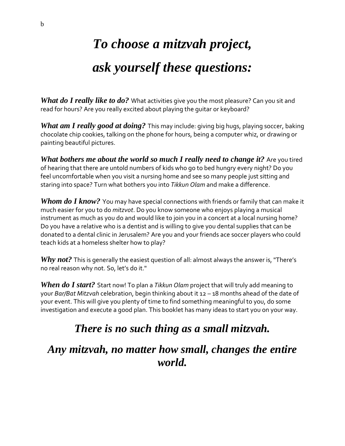# *To choose a mitzvah project, ask yourself these questions:*

*What do I really like to do?* What activities give you the most pleasure? Can you sit and read for hours? Are you really excited about playing the guitar or keyboard?

*What am I really good at doing?* This may include: giving big hugs, playing soccer, baking chocolate chip cookies, talking on the phone for hours, being a computer whiz, or drawing or painting beautiful pictures.

*What bothers me about the world so much I really need to change it?* Are you tired of hearing that there are untold numbers of kids who go to bed hungry every night? Do you feel uncomfortable when you visit a nursing home and see so many people just sitting and staring into space? Turn what bothers you into *Tikkun Olam* and make a difference.

*Whom do I know?* You may have special connections with friends or family that can make it much easier for you to do *mitzvot*. Do you know someone who enjoys playing a musical instrument as much as you do and would like to join you in a concert at a local nursing home? Do you have a relative who is a dentist and is willing to give you dental supplies that can be donated to a dental clinic in Jerusalem? Are you and your friends ace soccer players who could teach kids at a homeless shelter how to play?

*Why not?* This is generally the easiest question of all: almost always the answer is, "There's no real reason why not. So, let's do it."

*When do I start?* Start now! To plan a *Tikkun Olam* project that will truly add meaning to your *Bar/Bat Mitzvah* celebration, begin thinking about it 12 – 18 months ahead of the date of your event. This will give you plenty of time to find something meaningful to you, do some investigation and execute a good plan. This booklet has many ideas to start you on your way.

# *There is no such thing as a small mitzvah.*

*Any mitzvah, no matter how small, changes the entire world.*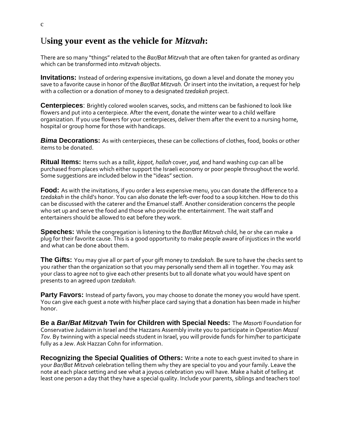## U**sing your event as the vehicle for** *Mitzvah***:**

There are so many "things" related to the *Bar/Bat Mitzvah* that are often taken for granted as ordinary which can be transformed into *mitzvah* objects.

**Invitations:** Instead of ordering expensive invitations, go down a level and donate the money you save to a favorite cause in honor of the *Bar/Bat Mitzvah.* Or insert into the invitation, a request for help with a collection or a donation of money to a designated *tzedakah* project.

**Centerpieces**: Brightly colored woolen scarves, socks, and mittens can be fashioned to look like flowers and put into a centerpiece. After the event, donate the winter wear to a child welfare organization. If you use flowers for your centerpieces, deliver them after the event to a nursing home, hospital or group home for those with handicaps.

*Bima* **Decorations:** As with centerpieces, these can be collections of clothes, food, books or other items to be donated.

**Ritual Items:** Items such as a *tallit*, *kippot, hallah* cover, *yad,* and hand washing cup can all be purchased from places which either support the Israeli economy or poor people throughout the world. Some suggestions are included below in the "ideas" section.

**Food:** As with the invitations, if you order a less expensive menu, you can donate the difference to a *tzedakah* in the child's honor. You can also donate the left-over food to a soup kitchen. How to do this can be discussed with the caterer and the Emanuel staff. Another consideration concerns the people who set up and serve the food and those who provide the entertainment. The wait staff and entertainers should be allowed to eat before they work.

**Speeches:** While the congregation is listening to the *Bar/Bat Mitzvah* child, he or she can make a plug for their favorite cause. This is a good opportunity to make people aware of injustices in the world and what can be done about them.

**The Gifts:** You may give all or part of your gift money to *tzedakah.* Be sure to have the checks sent to you rather than the organization so that you may personally send them all in together. You may ask your class to agree not to give each other presents but to all donate what you would have spent on presents to an agreed upon *tzedakah.*

**Party Favors:** Instead of party favors, you may choose to donate the money you would have spent. You can give each guest a note with his/her place card saying that a donation has been made in his/her honor.

**Be a** *Bar/Bat Mitzvah* **Twin for Children with Special Needs:** The *Masorti* Foundation for Conservative Judaism in Israel and the Hazzans Assembly invite you to participate in Operation *Mazal Tov.* By twinning with a special needs student in Israel, you will provide funds for him/her to participate fully as a Jew. Ask Hazzan Cohn for information.

**Recognizing the Special Qualities of Others:** Write a note to each guest invited to share in your *Bar/Bat Mitzvah* celebration telling them why they are special to you and your family. Leave the note at each place setting and see what a joyous celebration you will have. Make a habit of telling at least one person a day that they have a special quality. Include your parents, siblings and teachers too!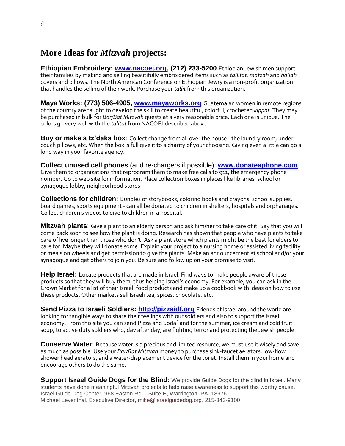# **More Ideas for** *Mitzvah* **projects:**

**Ethiopian Embroidery: [www.nacoej.org,](http://www.nacoej.org/) (212) 233-5200** Ethiopian Jewish men support their families by making and selling beautifully embroidered items such as *tallitot, matzah* and *hallah* covers and pillows. The North American Conference on Ethiopian Jewry is a non-profit organization that handles the selling of their work. Purchase your *tallit* from this organization.

**Maya Works: (773) 506-4905, [www.mayaworks.org](http://www.mayaworks.org/)** Guatemalan women in remote regions of the country are taught to develop the skill to create beautiful, colorful, crocheted *kippot*. They may be purchased in bulk for *Bar/Bat Mitzvah* guests at a very reasonable price. Each one is unique. The colors go very well with the *talitot* from NACOEJ described above.

**Buy or make a tz'daka box**: Collect change from all over the house - the laundry room, under couch pillows, etc. When the box is full give it to a charity of your choosing. Giving even a little can go a long way in your favorite agency.

**Collect unused cell phones** (and re-chargers if possible): **[www.donateaphone.com](http://www.donateaphone.com/)** Give them to organizations that reprogram them to make free calls to 911, the emergency phone number. Go to web site for information. Place collection boxes in places like libraries, school or synagogue lobby, neighborhood stores.

**Collections for children:** Bundles of storybooks, coloring books and crayons, school supplies, board games, sports equipment - can all be donated to children in shelters, hospitals and orphanages. Collect children's videos to give to children in a hospital.

**Mitzvah plants**: Give a plant to an elderly person and ask him/her to take care of it. Say that you will come back soon to see how the plant is doing. Research has shown that people who have plants to take care of live longer than those who don't. Ask a plant store which plants might be the best for elders to care for. Maybe they will donate some. Explain your project to a nursing home or assisted living facility or meals on wheels and get permission to give the plants. Make an announcement at school and/or your synagogue and get others to join you. Be sure and follow up on your promise to visit.

**Help Israel:** Locate products that are made in Israel. Find ways to make people aware of these products so that they will buy them, thus helping Israel's economy. For example, you can ask in the Crown Market for a list of their Israeli food products and make up a cookbook with ideas on how to use these products. Other markets sell Israeli tea, spices, chocolate, etc.

**Send Pizza to Israeli Soldiers: [http://pizzaidf.org](http://pizzaidf.org/)** Friends of Israel around the world are looking for tangible ways to share their feelings with our soldiers and also to support the Israeli economy. From this site you can send Pizza and Soda\* and for the summer, ice cream and cold fruit soup, to active duty soldiers who, day after day, are fighting terror and protecting the Jewish people.

**Conserve Water**: Because water is a precious and limited resource, we must use it wisely and save as much as possible. Use your *Bar/Bat Mitzvah* money to purchase sink-faucet aerators, low-flow shower head aerators, and a water-displacement device for the toilet. Install them in your home and encourage others to do the same.

**Support Israel Guide Dogs for the Blind:** We provide Guide Dogs for the blind in Israel. Many students have done meaningful Mitzvah projects to help raise awareness to support this worthy cause. Israel Guide Dog Center, 968 Easton Rd. - Suite H, Warrington, PA 18976 Michael Leventhal, Executive Director, [mike@israelguidedog.org,](mailto:mike@israelguidedog.org) 215-343-9100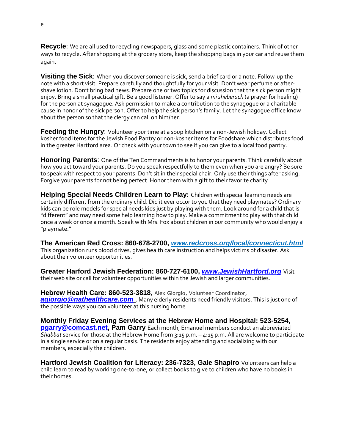**Recycle**: We are all used to recycling newspapers, glass and some plastic containers. Think of other ways to recycle. After shopping at the grocery store, keep the shopping bags in your car and reuse them again.

**Visiting the Sick**: When you discover someone is sick, send a brief card or a note. Follow-up the note with a short visit. Prepare carefully and thoughtfully for your visit. Don't wear perfume or aftershave lotion. Don't bring bad news. Prepare one or two topics for discussion that the sick person might enjoy. Bring a small practical gift. Be a good listener. Offer to say a *mi sheberach* (a prayer for healing) for the person at synagogue. Ask permission to make a contribution to the synagogue or a charitable cause in honor of the sick person. Offer to help the sick person's family. Let the synagogue office know about the person so that the clergy can call on him/her.

**Feeding the Hungry:** Volunteer your time at a soup kitchen on a non-Jewish holiday. Collect kosher food items for the Jewish Food Pantry or non-kosher items for Foodshare which distributes food in the greater Hartford area. Or check with your town to see if you can give to a local food pantry.

**Honoring Parents**: One of the Ten Commandments is to honor your parents. Think carefully about how you act toward your parents. Do you speak respectfully to them even when you are angry? Be sure to speak with respect to your parents. Don't sit in their special chair. Only use their things after asking. Forgive your parents for not being perfect. Honor them with a gift to their favorite charity.

**Helping Special Needs Children Learn to Play:** Children with special learning needs are certainly different from the ordinary child. Did it ever occur to you that they need playmates? Ordinary kids can be role models for special needs kids just by playing with them. Look around for a child that is "different" and may need some help learning how to play. Make a commitment to play with that child once a week or once a month. Speak with Mrs. Fox about children in our community who would enjoy a "playmate."

**The American Red Cross: 860-678-2700,** *www.redcross.org/local/connecticut.html* This organization runs blood drives, gives health care instruction and helps victims of disaster. Ask about their volunteer opportunities.

**Greater Harford Jewish Federation: 860-727-6100,** *[www.JewishHartford.org](http://www.jewishhartford.org/)* Visit their web site or call for volunteer opportunities within the Jewish and larger communities.

**Hebrew Health Care: 860-523-3818,** Alex Giorgio, Volunteer Coordinator, *[agiorgio@nathealthcare.com](mailto:agiorgio@nathealthcare.com)* . Many elderly residents need friendly visitors. This is just one of the possible ways you can volunteer at this nursing home.

**Monthly Friday Evening Services at the Hebrew Home and Hospital: 523-5254, [pgarry@comcast.net,](mailto:pgarry@comcast.net) Pam Garry** Each month, Emanuel members conduct an abbreviated *Shabbat* service for those at the Hebrew Home from 3:15 p.m. – 4:15 p.m. All are welcome to participate in a single service or on a regular basis. The residents enjoy attending and socializing with our members, especially the children.

**Hartford Jewish Coalition for Literacy: 236-7323, Gale Shapiro** Volunteers can help a child learn to read by working one-to-one, or collect books to give to children who have no books in their homes.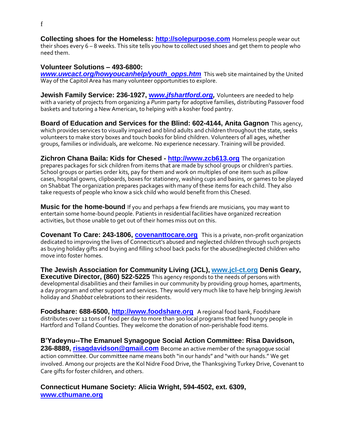**Collecting shoes for the Homeless: [http://solepurpose.com](http://solepurpose.com/)** Homeless people wear out their shoes every 6 – 8 weeks. This site tells you how to collect used shoes and get them to people who need them.

#### **Volunteer Solutions – 493-6800:**

*[www.uwcact.org/howyoucanhelp/youth\\_opps.htm](http://www.uwcact.org/howyoucanhelp/youth_opps.htm)* This web site maintained by the United Way of the Capitol Area has many volunteer opportunities to explore.

**Jewish Family Service: 236-1927, w[ww.jfshartford.org,](http://www.jfshartford.org/)** Volunteers are needed to help with a variety of projects from organizing a *Purim* party for adoptive families, distributing Passover food baskets and tutoring a New American, to helping with a kosher food pantry.

**Board of Education and Services for the Blind: 602-4144, Anita Gagnon** This agency, which provides services to visually impaired and blind adults and children throughout the state, seeks volunteers to make story boxes and touch books for blind children. Volunteers of all ages, whether groups, families or individuals, are welcome. No experience necessary. Training will be provided.

**Zichron Chana Baila: Kids for Chesed - [http://www.zcb613.org](http://www.zcb613.org/)** The organization prepares packages for sick children from items that are made by school groups or children's parties. School groups or parties order kits, pay for them and work on multiples of one item such as pillow cases, hospital gowns, clipboards, boxes for stationery, washing cups and basins, or games to be played on Shabbat The organization prepares packages with many of these items for each child. They also take requests of people who know a sick child who would benefit from this Chesed.

**Music for the home-bound** If you and perhaps a few friends are musicians, you may want to entertain some home-bound people. Patients in residential facilities have organized recreation activities, but those unable to get out of their homes miss out on this.

**Covenant To Care: 243-1806, <b>covenanttocare.org** This is a private, non-profit organization dedicated to improving the lives of Connecticut's abused and neglected children through such projects as buying holiday gifts and buying and filling school back packs for the abused/neglected children who move into foster homes.

**The Jewish Association for Community Living (JCL), www.jcl-ct.org Denis Geary, Executive Director, (860) 522-5225** This agency responds to the needs of persons with developmental disabilities and their families in our community by providing group homes, apartments, a day program and other support and services. They would very much like to have help bringing Jewish holiday and *Shabbat* celebrations to their residents.

**Foodshare: 688-6500, [http://www.foodshare.org](http://www.foodshare.org/)** A regional food bank, Foodshare distributes over 12 tons of food per day to more than 300 local programs that feed hungry people in Hartford and Tolland Counties. They welcome the donation of non-perishable food items.

**B'Yadeynu--The Emanuel Synagogue Social Action Committee: Risa Davidson, 236-8889, [risagdavidson@gmail.com](mailto:risagdavidson@gmail.com)** Become an active member of the synagogue social action committee. Our committee name means both "in our hands" and "with our hands." We get involved. Among our projects are the Kol Nidre Food Drive, the Thanksgiving Turkey Drive, Covenant to Care gifts for foster children, and others.

**Connecticut Humane Society: Alicia Wright, 594-4502, ext. 6309, [www.cthumane.org](http://www.cthumane.org/)**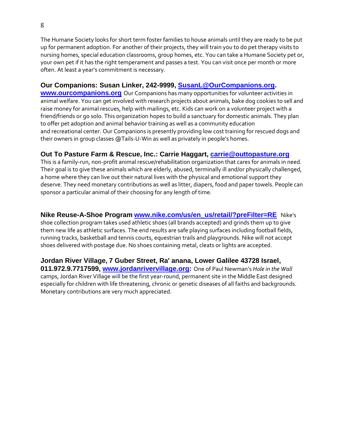The Humane Society looks for short term foster families to house animals until they are ready to be put up for permanent adoption. For another of their projects, they will train you to do pet therapy visits to nursing homes, special education classrooms, group homes, etc. You can take a Humane Society pet or, your own pet if it has the right temperament and passes a test. You can visit once per month or more often. At least a year's commitment is necessary.

### **Our Companions: Susan Linker, 242-9999, [SusanL@OurCompanions.org.](mailto:SusanL@OurCompanions.org)**

**[www.ourcompanions.org](http://www.ourcompanions.org/)** Our Companions has many opportunities for volunteer activities in animal welfare. You can get involved with research projects about animals, bake dog cookies to sell and raise money for animal rescues, help with mailings, etc. Kids can work on a volunteer project with a friend/friends or go solo. This organization hopes to build a sanctuary for domestic animals. They plan to offer pet adoption and animal behavior training as well as a community education and recreational center. Our Companions is presently providing low cost training for rescued dogs and their owners in group classes @Tails-U-Win as well as privately in people's homes.

### **Out To Pasture Farm & Rescue, Inc.: Carrie Haggart, [carrie@outtopasture.org](mailto:carrie@outtopasture.org)**

This is a family-run, non-profit animal rescue/rehabilitation organization that cares for animals in need. Their goal is to give these animals which are elderly, abused, terminally ill and/or physically challenged, a home where they can live out their natural lives with the physical and emotional support they deserve. They need monetary contributions as well as litter, diapers, food and paper towels. People can sponsor a particular animal of their choosing for any length of time.

**Nike Reuse-A-Shoe Program [www.nike.com/us/en\\_us/retail/?preFilter=RE](http://www.nike.com/us/en_us/retail/?preFilter=RE)** Nike's shoe collection program takes used athletic shoes (all brands accepted) and grinds them up to give them new life as athletic surfaces. The end results are safe playing surfaces including football fields, running tracks, basketball and tennis courts, equestrian trails and playgrounds. Nike will not accept shoes delivered with postage due. No shoes containing metal, cleats or lights are accepted.

**Jordan River Village, 7 Guber Street, Ra' anana, Lower Galilee 43728 Israel, 011.972.9.7717599, [www.jordanrivervillage.org:](http://www.jordanrivervillage.org/)** One of Paul Newman's *Hole in the Wall*  camps, Jordan River Village will be the first year-round, permanent site in the Middle East designed especially for children with life threatening, chronic or genetic diseases of all faiths and backgrounds. Monetary contributions are very much appreciated.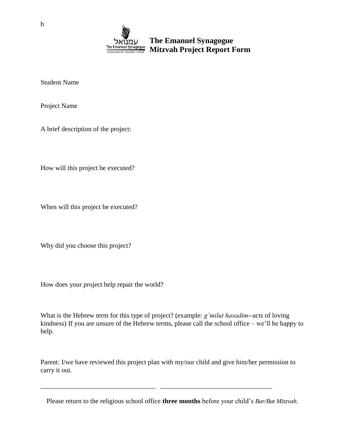

Student Name

Project Name

A brief description of the project:

How will this project be executed?

When will this project be executed?

Why did you choose this project?

How does your project help repair the world?

What is the Hebrew term for this type of project? (example: *g'milut hasadim*--acts of loving kindness) If you are unsure of the Hebrew terms, please call the school office – we'll be happy to help.

Parent: I/we have reviewed this project plan with my/our child and give him/her permission to carry it out.

\_\_\_\_\_\_\_\_\_\_\_\_\_\_\_\_\_\_\_\_\_\_\_\_\_\_\_\_\_\_\_\_\_\_ \_\_\_\_\_\_\_\_\_\_\_\_\_\_\_\_\_\_\_\_\_\_\_\_\_\_\_\_\_\_\_\_\_

Please return to the religious school office **three months** before your child's *Bar/Bat Mitzvah*.